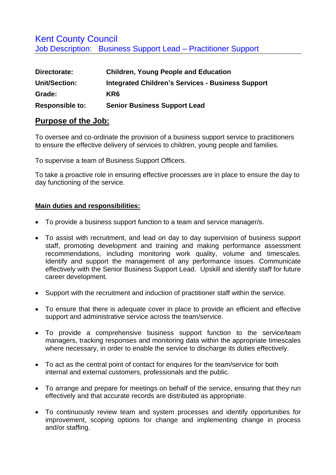## Kent County Council Job Description: Business Support Lead – Practitioner Support

| Directorate:                   | <b>Children, Young People and Education</b>                     |  |
|--------------------------------|-----------------------------------------------------------------|--|
| <b>Unit/Section:</b><br>Grade: | <b>Integrated Children's Services - Business Support</b><br>KR6 |  |
|                                |                                                                 |  |

## **Purpose of the Job:**

To oversee and co-ordinate the provision of a business support service to practitioners to ensure the effective delivery of services to children, young people and families.

To supervise a team of Business Support Officers.

To take a proactive role in ensuring effective processes are in place to ensure the day to day functioning of the service.

## **Main duties and responsibilities:**

- To provide a business support function to a team and service manager/s.
- To assist with recruitment, and lead on day to day supervision of business support staff, promoting development and training and making performance assessment recommendations, including monitoring work quality, volume and timescales. Identify and support the management of any performance issues. Communicate effectively with the Senior Business Support Lead. Upskill and identify staff for future career development.
- Support with the recruitment and induction of practitioner staff within the service.
- To ensure that there is adequate cover in place to provide an efficient and effective support and administrative service across the team/service.
- To provide a comprehensive business support function to the service/team managers, tracking responses and monitoring data within the appropriate timescales where necessary, in order to enable the service to discharge its duties effectively.
- To act as the central point of contact for enquires for the team/service for both internal and external customers, professionals and the public.
- To arrange and prepare for meetings on behalf of the service, ensuring that they run effectively and that accurate records are distributed as appropriate.
- To continuously review team and system processes and identify opportunities for improvement, scoping options for change and implementing change in process and/or staffing.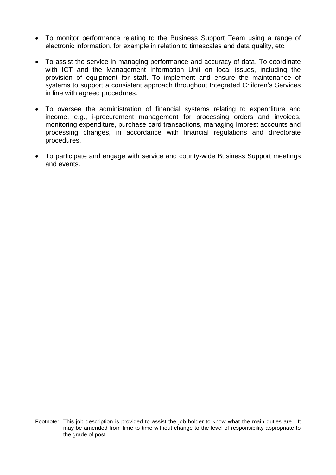- To monitor performance relating to the Business Support Team using a range of electronic information, for example in relation to timescales and data quality, etc.
- To assist the service in managing performance and accuracy of data. To coordinate with ICT and the Management Information Unit on local issues, including the provision of equipment for staff. To implement and ensure the maintenance of systems to support a consistent approach throughout Integrated Children's Services in line with agreed procedures.
- To oversee the administration of financial systems relating to expenditure and income, e.g., i-procurement management for processing orders and invoices, monitoring expenditure, purchase card transactions, managing Imprest accounts and processing changes, in accordance with financial regulations and directorate procedures.
- To participate and engage with service and county-wide Business Support meetings and events.

Footnote: This job description is provided to assist the job holder to know what the main duties are. It may be amended from time to time without change to the level of responsibility appropriate to the grade of post.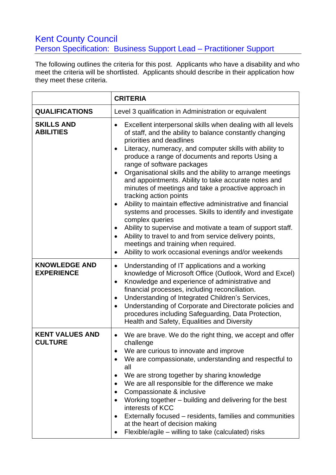## **Kent County Council** Person Specification: Business Support Lead – Practitioner Support

The following outlines the criteria for this post. Applicants who have a disability and who meet the criteria will be shortlisted. Applicants should describe in their application how they meet these criteria.

|                                           | <b>CRITERIA</b>                                                                                                                                                                                                                                                                                                                                                                                                                                                                                                                                                                                                                                                                                                                                                                                                                                                                                                     |
|-------------------------------------------|---------------------------------------------------------------------------------------------------------------------------------------------------------------------------------------------------------------------------------------------------------------------------------------------------------------------------------------------------------------------------------------------------------------------------------------------------------------------------------------------------------------------------------------------------------------------------------------------------------------------------------------------------------------------------------------------------------------------------------------------------------------------------------------------------------------------------------------------------------------------------------------------------------------------|
| <b>QUALIFICATIONS</b>                     | Level 3 qualification in Administration or equivalent                                                                                                                                                                                                                                                                                                                                                                                                                                                                                                                                                                                                                                                                                                                                                                                                                                                               |
| <b>SKILLS AND</b><br><b>ABILITIES</b>     | Excellent interpersonal skills when dealing with all levels<br>of staff, and the ability to balance constantly changing<br>priorities and deadlines<br>Literacy, numeracy, and computer skills with ability to<br>$\bullet$<br>produce a range of documents and reports Using a<br>range of software packages<br>Organisational skills and the ability to arrange meetings<br>and appointments. Ability to take accurate notes and<br>minutes of meetings and take a proactive approach in<br>tracking action points<br>Ability to maintain effective administrative and financial<br>$\bullet$<br>systems and processes. Skills to identify and investigate<br>complex queries<br>Ability to supervise and motivate a team of support staff.<br>$\bullet$<br>Ability to travel to and from service delivery points,<br>meetings and training when required.<br>Ability to work occasional evenings and/or weekends |
| <b>KNOWLEDGE AND</b><br><b>EXPERIENCE</b> | Understanding of IT applications and a working<br>$\bullet$<br>knowledge of Microsoft Office (Outlook, Word and Excel)<br>Knowledge and experience of administrative and<br>$\bullet$<br>financial processes, including reconciliation.<br>Understanding of Integrated Children's Services,<br>$\bullet$<br>Understanding of Corporate and Directorate policies and<br>$\bullet$<br>procedures including Safeguarding, Data Protection,<br>Health and Safety, Equalities and Diversity                                                                                                                                                                                                                                                                                                                                                                                                                              |
| <b>KENT VALUES AND</b><br><b>CULTURE</b>  | We are brave. We do the right thing, we accept and offer<br>$\bullet$<br>challenge<br>We are curious to innovate and improve<br>We are compassionate, understanding and respectful to<br>all<br>We are strong together by sharing knowledge<br>We are all responsible for the difference we make<br>Compassionate & inclusive<br>Working together – building and delivering for the best<br>$\bullet$<br>interests of KCC<br>Externally focused - residents, families and communities<br>at the heart of decision making<br>Flexible/agile - willing to take (calculated) risks                                                                                                                                                                                                                                                                                                                                     |